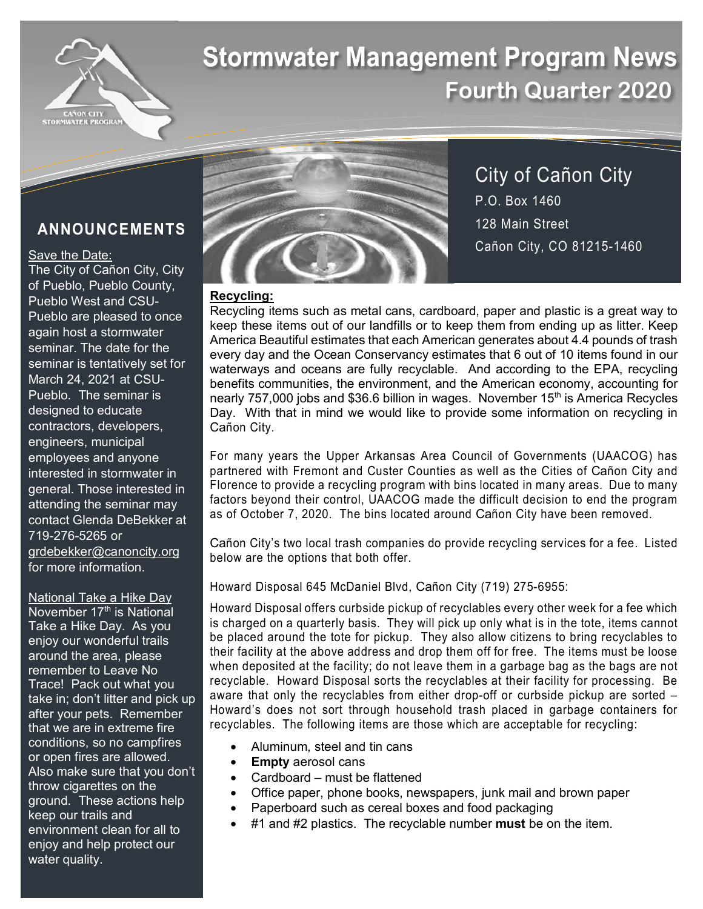

# **Stormwater Management Program News Fourth Quarter 2020**

# **ANNOUNCEMENTS**

## Save the Date:

The City of Cañon City, City of Pueblo, Pueblo County, Pueblo West and CSU-Pueblo are pleased to once again host a stormwater seminar. The date for the seminar is tentatively set for March 24, 2021 at CSU-Pueblo. The seminar is designed to educate contractors, developers, engineers, municipal employees and anyone interested in stormwater in general. Those interested in attending the seminar may contact Glenda DeBekker at 719-276-5265 or grdebekker@canoncity.org for more information.

National Take a Hike Day November 17<sup>th</sup> is National Take a Hike Day. As you enjoy our wonderful trails around the area, please remember to Leave No Trace! Pack out what you take in; don't litter and pick up after your pets. Remember that we are in extreme fire conditions, so no campfires or open fires are allowed. Also make sure that you don't throw cigarettes on the ground. These actions help keep our trails and environment clean for all to enjoy and help protect our water quality.



City of Cañon City P.O. Box 1460 128 Main Street Cañon City, CO 81215-1460

# **Recycling:**

Recycling items such as metal cans, cardboard, paper and plastic is a great way to keep these items out of our landfills or to keep them from ending up as litter. Keep America Beautiful estimates that each American generates about 4.4 pounds of trash every day and the Ocean Conservancy estimates that 6 out of 10 items found in our waterways and oceans are fully recyclable. And according to the EPA, recycling benefits communities, the environment, and the American economy, accounting for nearly 757,000 jobs and \$36.6 billion in wages. November 15<sup>th</sup> is America Recycles Day. With that in mind we would like to provide some information on recycling in Cañon City.

For many years the Upper Arkansas Area Council of Governments (UAACOG) has partnered with Fremont and Custer Counties as well as the Cities of Cañon City and Florence to provide a recycling program with bins located in many areas. Due to many factors beyond their control, UAACOG made the difficult decision to end the program as of October 7, 2020. The bins located around Cañon City have been removed.

Cañon City's two local trash companies do provide recycling services for a fee. Listed below are the options that both offer.

Howard Disposal 645 McDaniel Blvd, Cañon City (719) 275-6955:

Howard Disposal offers curbside pickup of recyclables every other week for a fee which is charged on a quarterly basis. They will pick up only what is in the tote, items cannot be placed around the tote for pickup. They also allow citizens to bring recyclables to their facility at the above address and drop them off for free. The items must be loose when deposited at the facility; do not leave them in a garbage bag as the bags are not recyclable. Howard Disposal sorts the recyclables at their facility for processing. Be aware that only the recyclables from either drop-off or curbside pickup are sorted – Howard's does not sort through household trash placed in garbage containers for recyclables. The following items are those which are acceptable for recycling:

- Aluminum, steel and tin cans
- **Empty** aerosol cans
- Cardboard must be flattened
- Office paper, phone books, newspapers, junk mail and brown paper
- Paperboard such as cereal boxes and food packaging
- #1 and #2 plastics. The recyclable number **must** be on the item.